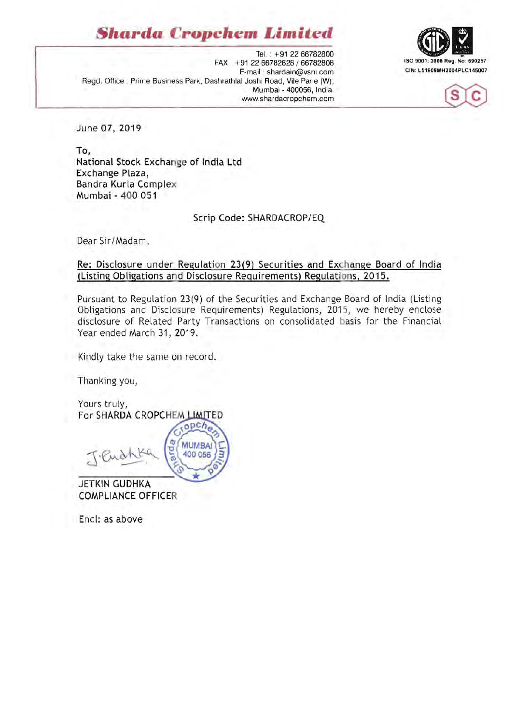# **Sharda Cropchem Limited**







June 07, 2019

To, National Stock Exchange of India Ltd Exchange Plaza, Bandra Kurla Complex Mumbai - 400 051

Scrip Code: SHARDACROP/EQ

Dear Sir/Madam,

Re: Disclosure under Regulation 23(9) Securities and Exchange Board of India (Listing Ob ligations and Disclosure Requirements) Regulations, 2015.

Pursuant to Regulation 23(9) of the Securities and Exchange Board of India (Listing Obligations and Disclosure Requirements) Regulations, 2015, we hereby enclose disclosure of Related Party Transactions on consolidated basis for the Financial Year ended March 31, 2019.

Kindly take the same on record.

Thanking you,

Yours truly, For SHARDA CROPCHEM LIMITED

 $nDCh$ **MUMBAI** 400 056

JETKIN GUDHKA COMPLIANCE OFFICER

Encl: as above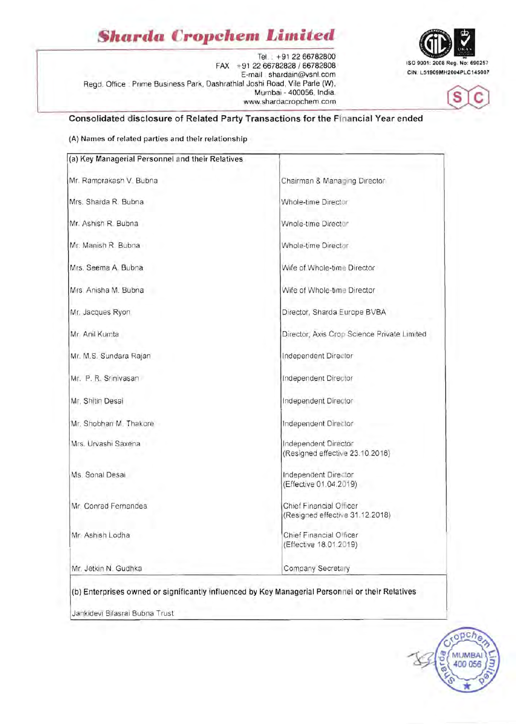# *Sharda* **Cropchem Limited**

Tel. . +91 22 66782800 FAX +91 2266782828 / 66782808 ISO 9001: 2008 Reg. No: 690257<br>E-mail : shardain@vsnl.com CIN: L51909MH2004PLC145007 Regd. Office : Prime Business Park, Dashrathlal Joshi Road, Vile Parle (W), Mumbai - 400056, India. www.shardacropchem.com





## **Consolidated disclosure of Related Party Transactions for the Financial Year ended**

#### (A) Names of related parties and their relationship

| (a) Key Managerial Personnel and their Relatives |                                                            |
|--------------------------------------------------|------------------------------------------------------------|
| Mr. Ramprakash V. Bubna                          | Chairman & Managing Director                               |
| Mrs. Sharda R. Bubna.                            | Whole-time Director                                        |
| Mr. Ashish R. Bubna                              | Whole-time Director                                        |
| Mr. Manish R. Bubna                              | Whole-time Director                                        |
| Mrs. Seema A. Bubna                              | Wife of Whole-time Director                                |
| Mrs Anisha M. Bubna                              | Wife of Whole-time Director                                |
| Mr. Jacques Ryon                                 | Director, Sharda Europe BVBA                               |
| Mr. Anil Kumta                                   | Director, Axis Crop Science Private Limited                |
| Mr. M.S. Sundara Rajan                           | Independent Director                                       |
| Mr. P. R. Srinivasan                             | Independent Director                                       |
| Mr. Shitin Desai                                 | Independent Director                                       |
| Mr. Shobhan M. Thakore                           | Independent Director                                       |
| Mrs. Urvashi Saxena                              | Independent Director<br>(Resigned effective 23.10.2018)    |
| Ms. Sonal Desai                                  | Independent Director<br>(Effective 01.04.2019)             |
| Mr. Conrad Fernandes                             | Chief Financial Officer<br>(Resigned effective 31.12.2018) |
| Mr. Ashish Lodha                                 | Chief Financial Officer<br>(Effective 18.01.2019)          |
| Mr. Jetkin N. Gudhka                             | Company Secretary                                          |



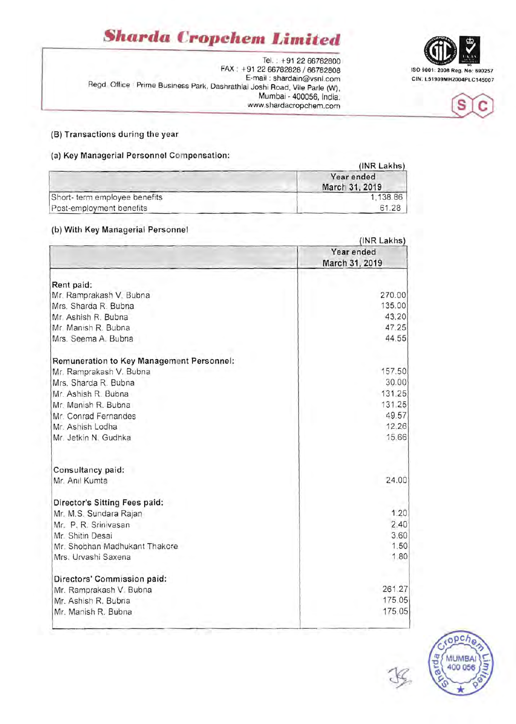# *§harda* **Cropchem** *Limited*

TeL: +91 2266782800 FAX: +91 2266782828/66782808 E-mail: shardain@vsnl.com CIN: L51909MH2004PLC145007 Regd. Office : Prime Business Park, Dashrathlal Joshi Road, Vile Parle (W), Mumbai - 400056, India. www.shardacropchem.com

## (8) Transactions during the year

# (a) Key Managerial Personnel Compensation:

|                               | (INR Lakhs)                  |  |
|-------------------------------|------------------------------|--|
|                               | Year ended<br>March 31, 2019 |  |
| Short- term employee benefits | 1,138.86                     |  |
| Post-employment benefits      | 61.28                        |  |

## (b) With Key Managerial Personnel

|                                           | (INR Lakhs)                  |  |
|-------------------------------------------|------------------------------|--|
|                                           | Year ended<br>March 31, 2019 |  |
|                                           |                              |  |
| Rent paid:                                |                              |  |
| Mr. Ramprakash V. Bubna                   | 270.00                       |  |
| Mrs. Sharda R. Bubna                      | 135.00                       |  |
| Mr. Ashish R. Bubna                       | 43.20                        |  |
| Mr. Manish R. Bubna                       | 47.25                        |  |
| Mrs. Seema A. Bubna                       | 44.55                        |  |
| Remuneration to Key Management Personnel: |                              |  |
| Mr. Ramprakash V. Bubna                   | 157.50                       |  |
| Mrs. Sharda R. Bubna                      | 30.00                        |  |
| Mr. Ashish R. Bubna                       | 131.25                       |  |
| Mr. Manish R. Bubna                       | 131.25                       |  |
| Mr. Conrad Fernandes                      | 49.57                        |  |
| Mr. Ashish Lodha                          | 12.26                        |  |
| Mr. Jetkin N. Gudhka                      | 15.66                        |  |
| Consultancy paid:                         |                              |  |
| Mr. Anil Kumta                            | 24.00                        |  |
| Director's Sitting Fees paid:             |                              |  |
| Mr. M.S. Sundara Rajan                    | 1.20                         |  |
| Mr. P. R. Srinivasan                      | 2.40                         |  |
| Mr. Shitin Desai                          | 3.60                         |  |
| Mr. Shobhan Madhukant Thakore             | 1.50                         |  |
| Mrs. Urvashi Saxena                       | 1,80                         |  |
| Directors' Commission paid:               |                              |  |
| Mr. Ramprakash V. Bubna                   | 261.27                       |  |
| Mr. Ashish R. Bubna                       | 175.05                       |  |
| Mr. Manish R. Bubna                       | 175.05                       |  |

pch ń, **MUMBAI** 400 056 ನ



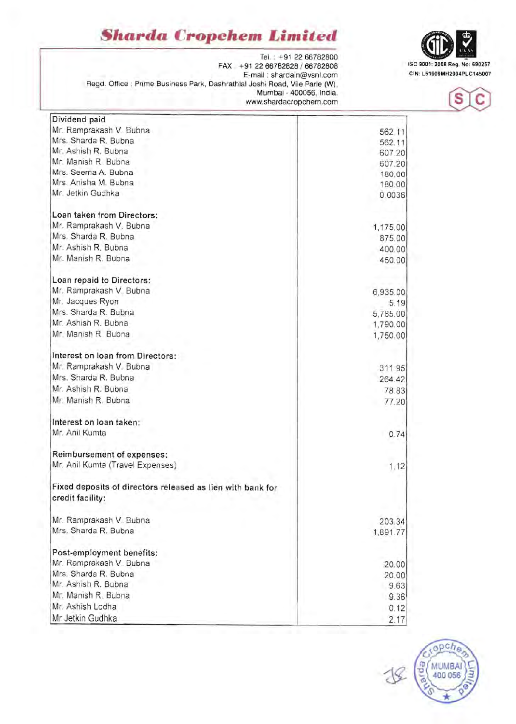# **Sharda Cropchem Limited**  $\bigoplus_{\text{[Fe]}_{1,1} \text{ [Fe]}_{22,66782800}}$



ISO 9001 : 2008 Reg. No: 690257 FAX . + 91 2266782828 / 66782808 E-mail : shardain@vsnl.com Regd. Office : Prime Business Park, Dashrathlal Joshi Road, Vile Parle (W), Mumbai - 400056, India. www.shardacropchem.com  $\begin{bmatrix} S \end{bmatrix}$ 

Dividend paid

| Mr. Ramprakash V. Bubna                                    | 562.11   |
|------------------------------------------------------------|----------|
| Mrs. Sharda R. Bubna                                       | 562.11   |
| Mr. Ashish R. Bubna                                        | 607.20   |
| Mr. Manish R. Bubna                                        | 607.20   |
| Mrs. Seema A. Bubna                                        | 180.00   |
| Mrs. Anisha M. Bubna                                       | 180.00   |
| Mr. Jetkin Gudhka                                          | 0.0036   |
|                                                            |          |
| Loan taken from Directors:                                 |          |
| Mr. Ramprakash V. Bubna                                    | 1,175.00 |
| Mrs. Sharda R. Bubna                                       | 875.00   |
| Mr. Ashish R. Bubna                                        | 400.00   |
| Mr. Manish R. Bubna                                        | 450.00   |
|                                                            |          |
| Loan repaid to Directors:                                  |          |
| Mr. Ramprakash V. Bubna                                    | 6,935.00 |
| Mr. Jacques Ryon                                           | 5.19     |
| Mrs. Sharda R. Bubna                                       | 5,785.00 |
| Mr. Ashish R. Bubna                                        | 1,790.00 |
| Mr. Manish R. Bubna                                        | 1,750.00 |
| Interest on loan from Directors:                           |          |
| Mr. Ramprakash V. Bubna                                    |          |
| Mrs. Sharda R. Bubna                                       | 311.95   |
|                                                            | 264.42   |
| Mr. Ashish R. Bubna                                        | 78.83    |
| Mr. Manish R. Bubna                                        | 77.20    |
| Interest on loan taken:                                    |          |
| Mr. Anil Kumta                                             | 0.74     |
| Reimbursement of expenses:                                 |          |
| Mr. Anil Kumta (Travel Expenses)                           | 1,12     |
|                                                            |          |
| Fixed deposits of directors released as lien with bank for |          |
| credit facility:                                           |          |
| Mr. Ramprakash V. Bubna                                    | 203.34   |
| Mrs. Sharda R. Bubna                                       | 1,891.77 |
|                                                            |          |
| Post-employment benefits:                                  |          |
| Mr. Ramprakash V. Bubna                                    | 20.00    |
| Mrs. Sharda R. Bubna                                       | 20.00    |
| Mr. Ashish R. Bubna                                        | 9.63     |
| Mr. Manish R. Bubna                                        | 9.36     |
| Mr. Ashish Lodha                                           | 0.12     |
| Mr Jetkin Gudhka                                           | 2.17     |
|                                                            |          |